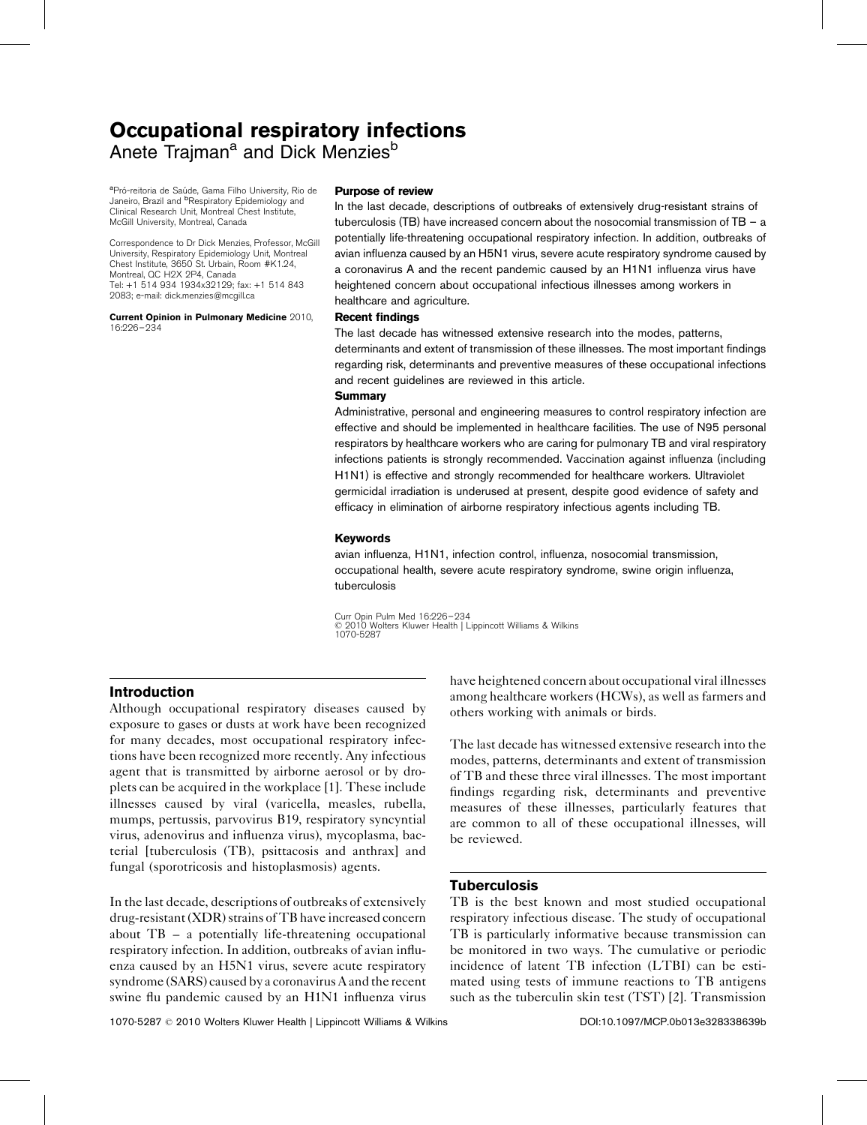# Occupational respiratory infections Anete Traiman<sup>a</sup> and Dick Menzies<sup>b</sup>

<sup>a</sup>Pró-reitoria de Saúde, Gama Filho University, Rio de Janeiro, Brazil and <sup>b</sup>Respiratory Epidemiology and Clinical Research Unit, Montreal Chest Institute, McGill University, Montreal, Canada

Correspondence to Dr Dick Menzies, Professor, McGill University, Respiratory Epidemiology Unit, Montreal Chest Institute, 3650 St. Urbain, Room #K1.24, Montreal, QC H2X 2P4, Canada Tel: +1 514 934 1934x32129; fax: +1 514 843 2083; e-mail: [dick.menzies@mcgill.ca](mailto:dick.menzies@mcgill.ca)

Current Opinion in Pulmonary Medicine 2010, 16:226–234

#### Purpose of review

In the last decade, descriptions of outbreaks of extensively drug-resistant strains of tuberculosis (TB) have increased concern about the nosocomial transmission of TB – a potentially life-threatening occupational respiratory infection. In addition, outbreaks of avian influenza caused by an H5N1 virus, severe acute respiratory syndrome caused by a coronavirus A and the recent pandemic caused by an H1N1 influenza virus have heightened concern about occupational infectious illnesses among workers in healthcare and agriculture.

#### Recent findings

The last decade has witnessed extensive research into the modes, patterns, determinants and extent of transmission of these illnesses. The most important findings regarding risk, determinants and preventive measures of these occupational infections and recent guidelines are reviewed in this article.

#### **Summary**

Administrative, personal and engineering measures to control respiratory infection are effective and should be implemented in healthcare facilities. The use of N95 personal respirators by healthcare workers who are caring for pulmonary TB and viral respiratory infections patients is strongly recommended. Vaccination against influenza (including H1N1) is effective and strongly recommended for healthcare workers. Ultraviolet germicidal irradiation is underused at present, despite good evidence of safety and efficacy in elimination of airborne respiratory infectious agents including TB.

## Keywords

avian influenza, H1N1, infection control, influenza, nosocomial transmission, occupational health, severe acute respiratory syndrome, swine origin influenza, tuberculosis

Curr Opin Pulm Med 16:226–234 2010 Wolters Kluwer Health | Lippincott Williams & Wilkins 1070-5287

# Introduction

Although occupational respiratory diseases caused by exposure to gases or dusts at work have been recognized for many decades, most occupational respiratory infections have been recognized more recently. Any infectious agent that is transmitted by airborne aerosol or by droplets can be acquired in the workplace [\[1\].](#page-5-0) These include illnesses caused by viral (varicella, measles, rubella, mumps, pertussis, parvovirus B19, respiratory syncyntial virus, adenovirus and influenza virus), mycoplasma, bacterial [tuberculosis (TB), psittacosis and anthrax] and fungal (sporotricosis and histoplasmosis) agents.

In the last decade, descriptions of outbreaks of extensively drug-resistant (XDR) strains of TB have increased concern about TB – a potentially life-threatening occupational respiratory infection. In addition, outbreaks of avian influenza caused by an H5N1 virus, severe acute respiratory syndrome (SARS) caused by a coronavirus A and the recent swine flu pandemic caused by an H1N1 influenza virus have heightened concern about occupational viral illnesses among healthcare workers (HCWs), as well as farmers and others working with animals or birds.

The last decade has witnessed extensive research into the modes, patterns, determinants and extent of transmission of TB and these three viral illnesses. The most important findings regarding risk, determinants and preventive measures of these illnesses, particularly features that are common to all of these occupational illnesses, will be reviewed.

## **Tuberculosis**

TB is the best known and most studied occupational respiratory infectious disease. The study of occupational TB is particularly informative because transmission can be monitored in two ways. The cumulative or periodic incidence of latent TB infection (LTBI) can be estimated using tests of immune reactions to TB antigens such as the tuberculin skin test (TST) [\[2\].](#page-5-0) Transmission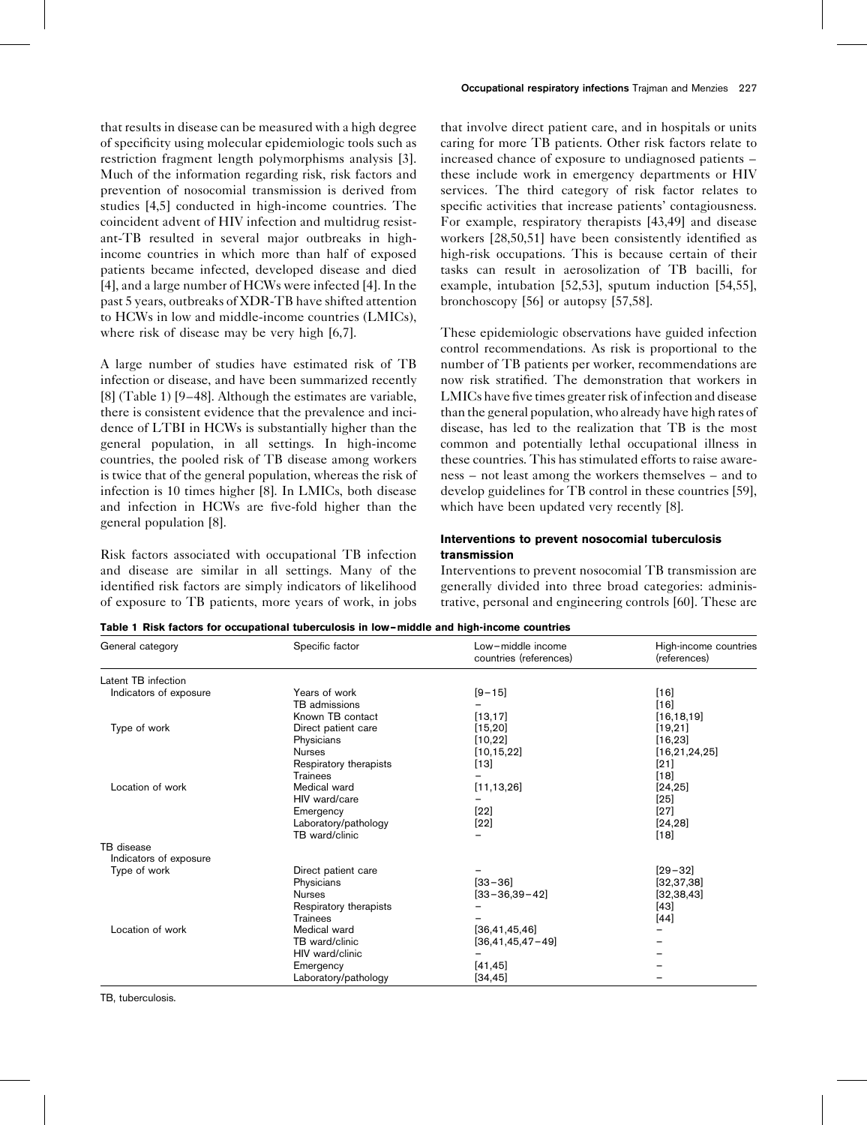that results in disease can be measured with a high degree of specificity using molecular epidemiologic tools such as restriction fragment length polymorphisms analysis [\[3\]](#page-5-0). Much of the information regarding risk, risk factors and prevention of nosocomial transmission is derived from studies [\[4,5\]](#page-5-0) conducted in high-income countries. The coincident advent of HIV infection and multidrug resistant-TB resulted in several major outbreaks in highincome countries in which more than half of exposed patients became infected, developed disease and died [\[4\]](#page-5-0), and a large number of HCWs were infected [\[4\]](#page-5-0). In the past 5 years, outbreaks of XDR-TB have shifted attention to HCWs in low and middle-income countries (LMICs), where risk of disease may be very high [\[6,7\]](#page-5-0).

A large number of studies have estimated risk of TB infection or disease, and have been summarized recently [\[8\]](#page-5-0) (Table 1) [\[9–48\].](#page-5-0) Although the estimates are variable, there is consistent evidence that the prevalence and incidence of LTBI in HCWs is substantially higher than the general population, in all settings. In high-income countries, the pooled risk of TB disease among workers is twice that of the general population, whereas the risk of infection is 10 times higher [\[8\]](#page-5-0). In LMICs, both disease and infection in HCWs are five-fold higher than the general population [\[8\].](#page-5-0)

Risk factors associated with occupational TB infection and disease are similar in all settings. Many of the identified risk factors are simply indicators of likelihood of exposure to TB patients, more years of work, in jobs

that involve direct patient care, and in hospitals or units caring for more TB patients. Other risk factors relate to increased chance of exposure to undiagnosed patients – these include work in emergency departments or HIV services. The third category of risk factor relates to specific activities that increase patients' contagiousness. For example, respiratory therapists [\[43,49\]](#page-6-0) and disease workers [\[28,50,51\]](#page-6-0) have been consistently identified as high-risk occupations. This is because certain of their tasks can result in aerosolization of TB bacilli, for example, intubation [\[52,53\],](#page-6-0) sputum induction [\[54,55\]](#page-6-0), bronchoscopy [\[56\]](#page-6-0) or autopsy [\[57,58\].](#page-6-0)

These epidemiologic observations have guided infection control recommendations. As risk is proportional to the number of TB patients per worker, recommendations are now risk stratified. The demonstration that workers in LMICs have five times greater risk of infection and disease than the general population, who already have high rates of disease, has led to the realization that TB is the most common and potentially lethal occupational illness in these countries. This has stimulated efforts to raise awareness – not least among the workers themselves – and to develop guidelines for TB control in these countries [\[59\]](#page-6-0), which have been updated very recently [\[8\]](#page-5-0).

## Interventions to prevent nosocomial tuberculosis transmission

Interventions to prevent nosocomial TB transmission are generally divided into three broad categories: administrative, personal and engineering controls [\[60\].](#page-6-0) These are

|  |  |  | Table 1 Risk factors for occupational tuberculosis in low-middle and high-income countries |
|--|--|--|--------------------------------------------------------------------------------------------|
|--|--|--|--------------------------------------------------------------------------------------------|

| General category       | Specific factor        | Low-middle income<br>countries (references) | High-income countries<br>(references) |  |
|------------------------|------------------------|---------------------------------------------|---------------------------------------|--|
| Latent TB infection    |                        |                                             |                                       |  |
| Indicators of exposure | Years of work          | $[9 - 15]$                                  | $[16]$                                |  |
|                        | TB admissions          |                                             | $[16]$                                |  |
|                        | Known TB contact       | [13, 17]                                    | [16, 18, 19]                          |  |
| Type of work           | Direct patient care    | [15, 20]                                    | [19, 21]                              |  |
|                        | Physicians             | [10, 22]                                    | [16, 23]                              |  |
|                        | <b>Nurses</b>          | [10, 15, 22]                                | [16, 21, 24, 25]                      |  |
|                        | Respiratory therapists | $[13]$                                      | $[21]$                                |  |
|                        | <b>Trainees</b>        |                                             | $[18]$                                |  |
| Location of work       | Medical ward           | [11, 13, 26]                                | [24, 25]                              |  |
|                        | HIV ward/care          |                                             | $[25]$                                |  |
|                        | Emergency              | $[22]$                                      | $[27]$                                |  |
|                        | Laboratory/pathology   | $[22]$                                      | [24, 28]                              |  |
|                        | TB ward/clinic         |                                             | $[18]$                                |  |
| TB disease             |                        |                                             |                                       |  |
| Indicators of exposure |                        |                                             |                                       |  |
| Type of work           | Direct patient care    |                                             | $[29 - 32]$                           |  |
|                        | Physicians             | $[33 - 36]$                                 | [32, 37, 38]                          |  |
|                        | <b>Nurses</b>          | $[33 - 36, 39 - 42]$                        | [32, 38, 43]                          |  |
|                        | Respiratory therapists |                                             | $[43]$                                |  |
|                        | <b>Trainees</b>        |                                             | $[44]$                                |  |
| Location of work       | Medical ward           | [36, 41, 45, 46]                            |                                       |  |
|                        | TB ward/clinic         | $[36, 41, 45, 47 - 49]$                     |                                       |  |
|                        | HIV ward/clinic        |                                             |                                       |  |
|                        | Emergency              | [41, 45]                                    |                                       |  |
|                        | Laboratory/pathology   | [34, 45]                                    |                                       |  |

TB, tuberculosis.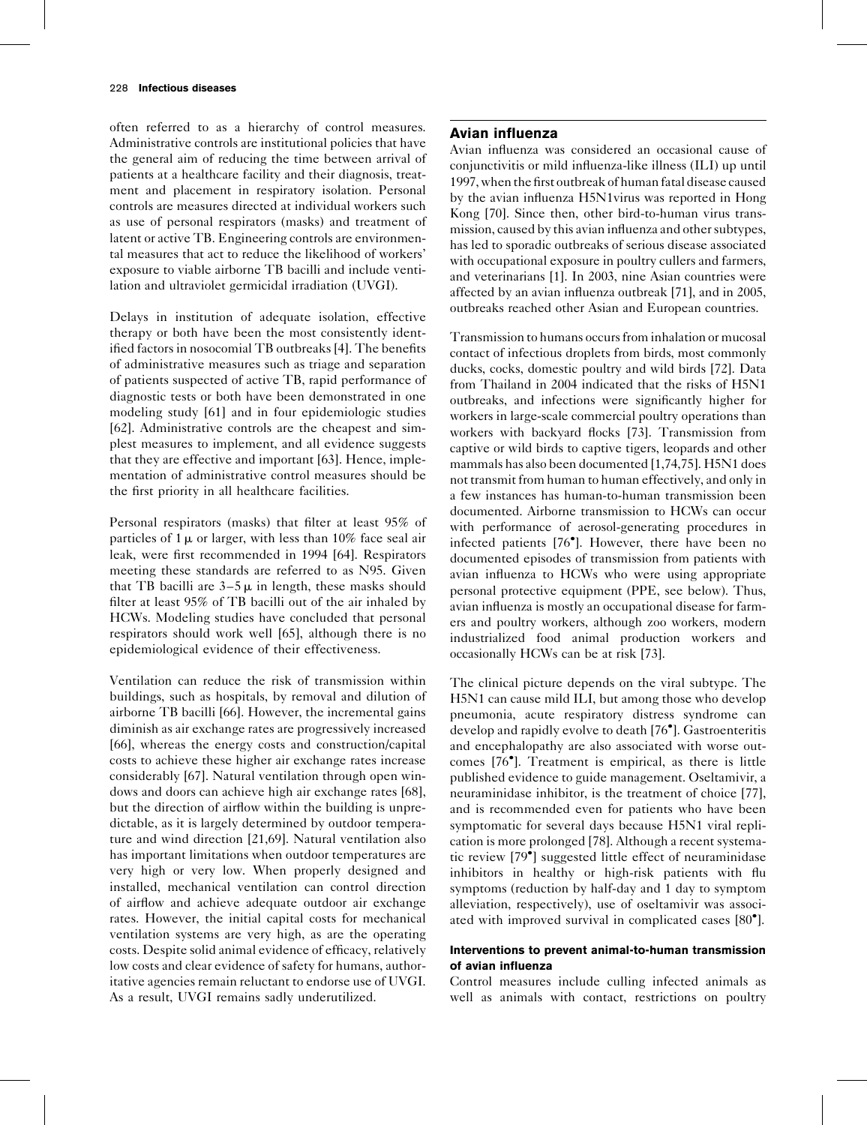often referred to as a hierarchy of control measures. Administrative controls are institutional policies that have the general aim of reducing the time between arrival of patients at a healthcare facility and their diagnosis, treatment and placement in respiratory isolation. Personal controls are measures directed at individual workers such as use of personal respirators (masks) and treatment of latent or active TB. Engineering controls are environmental measures that act to reduce the likelihood of workers' exposure to viable airborne TB bacilli and include ventilation and ultraviolet germicidal irradiation (UVGI).

Delays in institution of adequate isolation, effective therapy or both have been the most consistently identified factors in nosocomial TB outbreaks [\[4\].](#page-5-0) The benefits of administrative measures such as triage and separation of patients suspected of active TB, rapid performance of diagnostic tests or both have been demonstrated in one modeling study [\[61\]](#page-6-0) and in four epidemiologic studies [\[62\]](#page-6-0). Administrative controls are the cheapest and simplest measures to implement, and all evidence suggests that they are effective and important [\[63\]](#page-6-0). Hence, implementation of administrative control measures should be the first priority in all healthcare facilities.

Personal respirators (masks) that filter at least 95% of particles of  $1 \mu$  or larger, with less than 10% face seal air leak, were first recommended in 1994 [\[64\]](#page-6-0). Respirators meeting these standards are referred to as N95. Given that TB bacilli are  $3-5\mu$  in length, these masks should filter at least 95% of TB bacilli out of the air inhaled by HCWs. Modeling studies have concluded that personal respirators should work well [\[65\],](#page-6-0) although there is no epidemiological evidence of their effectiveness.

Ventilation can reduce the risk of transmission within buildings, such as hospitals, by removal and dilution of airborne TB bacilli [\[66\]](#page-7-0). However, the incremental gains diminish as air exchange rates are progressively increased [\[66\]](#page-7-0), whereas the energy costs and construction/capital costs to achieve these higher air exchange rates increase considerably [\[67\]](#page-7-0). Natural ventilation through open windows and doors can achieve high air exchange rates [\[68\]](#page-7-0), but the direction of airflow within the building is unpredictable, as it is largely determined by outdoor temperature and wind direction [\[21,69\]](#page-6-0). Natural ventilation also has important limitations when outdoor temperatures are very high or very low. When properly designed and installed, mechanical ventilation can control direction of airflow and achieve adequate outdoor air exchange rates. However, the initial capital costs for mechanical ventilation systems are very high, as are the operating costs. Despite solid animal evidence of efficacy, relatively low costs and clear evidence of safety for humans, authoritative agencies remain reluctant to endorse use of UVGI. As a result, UVGI remains sadly underutilized.

# Avian influenza

Avian influenza was considered an occasional cause of conjunctivitis or mild influenza-like illness (ILI) up until 1997, when the first outbreak of human fatal disease caused by the avian influenza H5N1virus was reported in Hong Kong [\[70\].](#page-7-0) Since then, other bird-to-human virus transmission, caused by this avian influenza and other subtypes, has led to sporadic outbreaks of serious disease associated with occupational exposure in poultry cullers and farmers, and veterinarians [\[1\]](#page-5-0). In 2003, nine Asian countries were affected by an avian influenza outbreak [\[71\]](#page-7-0), and in 2005, outbreaks reached other Asian and European countries.

Transmission to humans occurs from inhalation or mucosal contact of infectious droplets from birds, most commonly ducks, cocks, domestic poultry and wild birds [\[72\].](#page-7-0) Data from Thailand in 2004 indicated that the risks of H5N1 outbreaks, and infections were significantly higher for workers in large-scale commercial poultry operations than workers with backyard flocks [\[73\]](#page-7-0). Transmission from captive or wild birds to captive tigers, leopards and other mammals has also been documented [\[1,74,75\].](#page-5-0) H5N1 does not transmit from human to human effectively, and only in a few instances has human-to-human transmission been documented. Airborne transmission to HCWs can occur with performance of aerosol-generating procedures in infected patients [\[76](#page-7-0) [\].](#page-7-0) However, there have been no documented episodes of transmission from patients with avian influenza to HCWs who were using appropriate personal protective equipment (PPE, see below). Thus, avian influenza is mostly an occupational disease for farmers and poultry workers, although zoo workers, modern industrialized food animal production workers and occasionally HCWs can be at risk [\[73\]](#page-7-0).

The clinical picture depends on the viral subtype. The H5N1 can cause mild ILI, but among those who develop pneumonia, acute respiratory distress syndrome can develop and rapidly evolve to death [\[76](#page-7-0) [\].](#page-7-0) Gastroenteritis and encephalopathy are also associated with worse outcomes [\[76](#page-7-0) [\].](#page-7-0) Treatment is empirical, as there is little published evidence to guide management. Oseltamivir, a neuraminidase inhibitor, is the treatment of choice [\[77\],](#page-7-0) and is recommended even for patients who have been symptomatic for several days because H5N1 viral replication is more prolonged [\[78\].](#page-7-0) Although a recent systematic review [\[79](#page-7-0) [\]](#page-7-0) suggested little effect of neuraminidase inhibitors in healthy or high-risk patients with flu symptoms (reduction by half-day and 1 day to symptom alleviation, respectively), use of oseltamivir was associ-ated with improved survival in complicated cases [\[80](#page-7-0)°[\]](#page-7-0).

## Interventions to prevent animal-to-human transmission of avian influenza

Control measures include culling infected animals as well as animals with contact, restrictions on poultry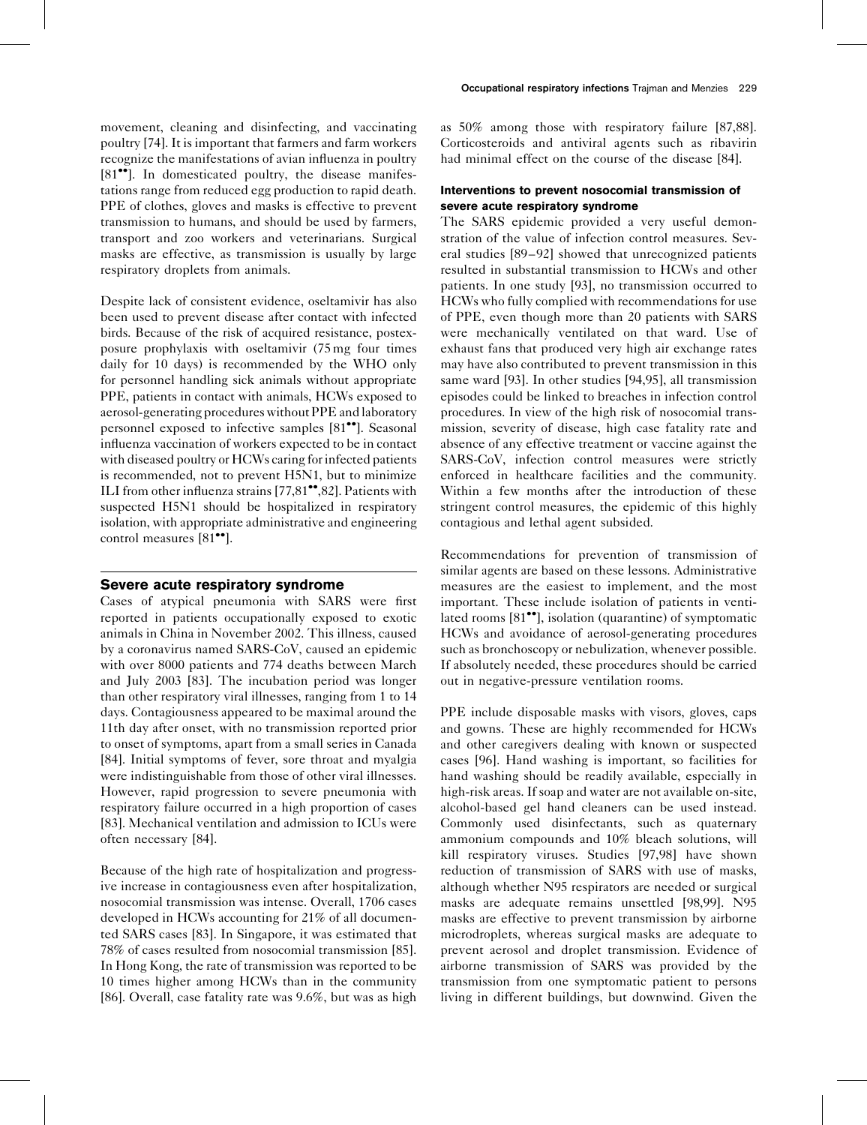movement, cleaning and disinfecting, and vaccinating poultry [\[74\].](#page-7-0) It is important that farmers and farm workers recognize the manifestations of avian influenza in poultry [\[81](#page-7-0)<sup>••</sup>[\].](#page-7-0) In domesticated poultry, the disease manifestations range from reduced egg production to rapid death. PPE of clothes, gloves and masks is effective to prevent transmission to humans, and should be used by farmers, transport and zoo workers and veterinarians. Surgical masks are effective, as transmission is usually by large respiratory droplets from animals.

Despite lack of consistent evidence, oseltamivir has also been used to prevent disease after contact with infected birds. Because of the risk of acquired resistance, postexposure prophylaxis with oseltamivir (75 mg four times daily for 10 days) is recommended by the WHO only for personnel handling sick animals without appropriate PPE, patients in contact with animals, HCWs exposed to aerosol-generating procedures without PPE and laboratory personnel exposed to infective samples [\[81](#page-7-0)<sup>••</sup>[\]](#page-7-0). Seasonal influenza vaccination of workers expected to be in contact with diseased poultry or HCWs caring for infected patients is recommended, not to prevent H5N1, but to minimize ILI from other influenza strains  $[77,81$ <sup> $\bullet$ </sup>[,82\].](#page-7-0) Patients with suspected H5N1 should be hospitalized in respiratory isolation, with appropriate administrative and engineering control measures [\[81](#page-7-0)<sup>••</sup>[\].](#page-7-0)

## Severe acute respiratory syndrome

Cases of atypical pneumonia with SARS were first reported in patients occupationally exposed to exotic animals in China in November 2002. This illness, caused by a coronavirus named SARS-CoV, caused an epidemic with over 8000 patients and 774 deaths between March and July 2003 [\[83\]](#page-7-0). The incubation period was longer than other respiratory viral illnesses, ranging from 1 to 14 days. Contagiousness appeared to be maximal around the 11th day after onset, with no transmission reported prior to onset of symptoms, apart from a small series in Canada [\[84\]](#page-7-0). Initial symptoms of fever, sore throat and myalgia were indistinguishable from those of other viral illnesses. However, rapid progression to severe pneumonia with respiratory failure occurred in a high proportion of cases [\[83\]](#page-7-0). Mechanical ventilation and admission to ICUs were often necessary [\[84\].](#page-7-0)

Because of the high rate of hospitalization and progressive increase in contagiousness even after hospitalization, nosocomial transmission was intense. Overall, 1706 cases developed in HCWs accounting for 21% of all documented SARS cases [\[83\]](#page-7-0). In Singapore, it was estimated that 78% of cases resulted from nosocomial transmission [\[85\]](#page-7-0). In Hong Kong, the rate of transmission was reported to be 10 times higher among HCWs than in the community [\[86\]](#page-7-0). Overall, case fatality rate was 9.6%, but was as high as 50% among those with respiratory failure [\[87,88\]](#page-7-0). Corticosteroids and antiviral agents such as ribavirin had minimal effect on the course of the disease [\[84\]](#page-7-0).

## Interventions to prevent nosocomial transmission of severe acute respiratory syndrome

The SARS epidemic provided a very useful demonstration of the value of infection control measures. Several studies [\[89–92\]](#page-7-0) showed that unrecognized patients resulted in substantial transmission to HCWs and other patients. In one study [\[93\],](#page-7-0) no transmission occurred to HCWs who fully complied with recommendations for use of PPE, even though more than 20 patients with SARS were mechanically ventilated on that ward. Use of exhaust fans that produced very high air exchange rates may have also contributed to prevent transmission in this same ward [\[93\]](#page-7-0). In other studies [\[94,95\]](#page-7-0), all transmission episodes could be linked to breaches in infection control procedures. In view of the high risk of nosocomial transmission, severity of disease, high case fatality rate and absence of any effective treatment or vaccine against the SARS-CoV, infection control measures were strictly enforced in healthcare facilities and the community. Within a few months after the introduction of these stringent control measures, the epidemic of this highly contagious and lethal agent subsided.

Recommendations for prevention of transmission of similar agents are based on these lessons. Administrative measures are the easiest to implement, and the most important. These include isolation of patients in venti-lated rooms [\[81](#page-7-0)<sup>••</sup>[\],](#page-7-0) isolation (quarantine) of symptomatic HCWs and avoidance of aerosol-generating procedures such as bronchoscopy or nebulization, whenever possible. If absolutely needed, these procedures should be carried out in negative-pressure ventilation rooms.

PPE include disposable masks with visors, gloves, caps and gowns. These are highly recommended for HCWs and other caregivers dealing with known or suspected cases [\[96\]](#page-7-0). Hand washing is important, so facilities for hand washing should be readily available, especially in high-risk areas. If soap and water are not available on-site, alcohol-based gel hand cleaners can be used instead. Commonly used disinfectants, such as quaternary ammonium compounds and 10% bleach solutions, will kill respiratory viruses. Studies [\[97,98\]](#page-7-0) have shown reduction of transmission of SARS with use of masks, although whether N95 respirators are needed or surgical masks are adequate remains unsettled [\[98,99\].](#page-7-0) N95 masks are effective to prevent transmission by airborne microdroplets, whereas surgical masks are adequate to prevent aerosol and droplet transmission. Evidence of airborne transmission of SARS was provided by the transmission from one symptomatic patient to persons living in different buildings, but downwind. Given the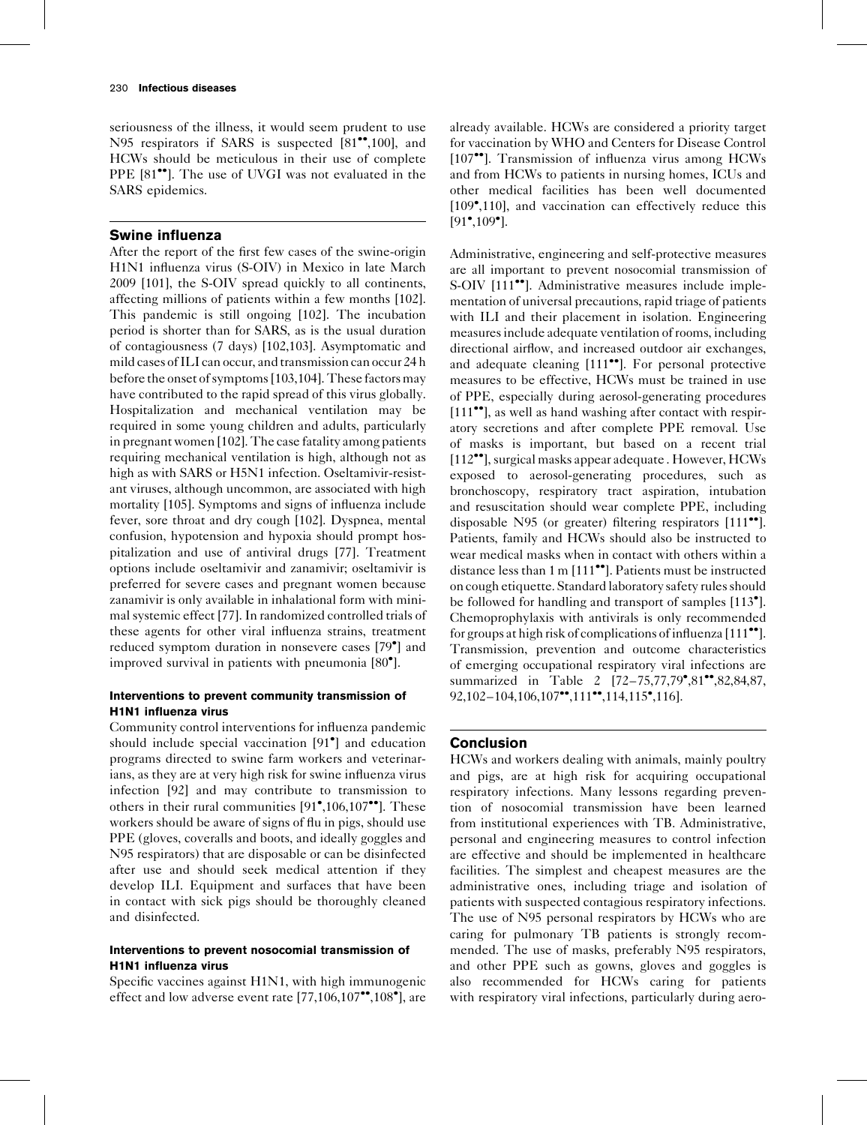seriousness of the illness, it would seem prudent to use N95 respirators if SARS is suspected  $[81^{\bullet\bullet}, 100]$  $[81^{\bullet\bullet}, 100]$ , and HCWs should be meticulous in their use of complete PPE [\[81](#page-7-0)<sup>\*\*</sup>[\].](#page-7-0) The use of UVGI was not evaluated in the SARS epidemics.

## Swine influenza

After the report of the first few cases of the swine-origin H1N1 influenza virus (S-OIV) in Mexico in late March 2009 [\[101\]](#page-7-0), the S-OIV spread quickly to all continents, affecting millions of patients within a few months [\[102\]](#page-7-0). This pandemic is still ongoing [\[102\].](#page-7-0) The incubation period is shorter than for SARS, as is the usual duration of contagiousness (7 days) [\[102,103\].](#page-7-0) Asymptomatic and mild cases of ILI can occur, and transmission can occur 24 h before the onset of symptoms [\[103,104\].](#page-7-0) These factors may have contributed to the rapid spread of this virus globally. Hospitalization and mechanical ventilation may be required in some young children and adults, particularly in pregnant women [\[102\]](#page-7-0). The case fatality among patients requiring mechanical ventilation is high, although not as high as with SARS or H5N1 infection. Oseltamivir-resistant viruses, although uncommon, are associated with high mortality [\[105\].](#page-7-0) Symptoms and signs of influenza include fever, sore throat and dry cough [\[102\].](#page-7-0) Dyspnea, mental confusion, hypotension and hypoxia should prompt hospitalization and use of antiviral drugs [\[77\]](#page-7-0). Treatment options include oseltamivir and zanamivir; oseltamivir is preferred for severe cases and pregnant women because zanamivir is only available in inhalational form with minimal systemic effect [\[77\].](#page-7-0) In randomized controlled trials of these agents for other viral influenza strains, treatment reduced symptom duration in nonsevere cases [\[79](#page-7-0) [\]](#page-7-0) and improved survival in patients with pneumonia [\[80](#page-7-0) [\]](#page-7-0).

## Interventions to prevent community transmission of H1N1 influenza virus

Community control interventions for influenza pandemic should include special vaccination [\[91](#page-7-0) [\]](#page-7-0) and education programs directed to swine farm workers and veterinarians, as they are at very high risk for swine influenza virus infection [\[92\]](#page-7-0) and may contribute to transmission to others in their rural communities  $[91^{\bullet},106,107^{\bullet\bullet}]$  $[91^{\bullet},106,107^{\bullet\bullet}]$  $[91^{\bullet},106,107^{\bullet\bullet}]$  $[91^{\bullet},106,107^{\bullet\bullet}]$  $[91^{\bullet},106,107^{\bullet\bullet}]$ . These workers should be aware of signs of flu in pigs, should use PPE (gloves, coveralls and boots, and ideally goggles and N95 respirators) that are disposable or can be disinfected after use and should seek medical attention if they develop ILI. Equipment and surfaces that have been in contact with sick pigs should be thoroughly cleaned and disinfected.

## Interventions to prevent nosocomial transmission of H1N1 influenza virus

Specific vaccines against H1N1, with high immunogenic effect and low adverse event rate  $[77,106,107$ <sup>\*\*</sup>[,108](#page-7-0)<sup>\*</sup>[\]](#page-7-0), are

already available. HCWs are considered a priority target for vaccination by WHO and Centers for Disease Control [\[107](#page-7-0)<sup>\*\*</sup>[\].](#page-7-0) Transmission of influenza virus among HCWs and from HCWs to patients in nursing homes, ICUs and other medical facilities has been well documented [\[109](#page-7-0) [,110\],](#page-7-0) and vaccination can effectively reduce this  $[91^{\bullet}, 109^{\bullet}].$  $[91^{\bullet}, 109^{\bullet}].$  $[91^{\bullet}, 109^{\bullet}].$  $[91^{\bullet}, 109^{\bullet}].$ 

Administrative, engineering and self-protective measures are all important to prevent nosocomial transmission of S-OIV [\[111](#page-8-0)<sup>••</sup>[\].](#page-8-0) Administrative measures include implementation of universal precautions, rapid triage of patients with ILI and their placement in isolation. Engineering measures include adequate ventilation of rooms, including directional airflow, and increased outdoor air exchanges, and adequate cleaning  $[111\bullet$  $[111\bullet$ <sup>o</sup>. For personal protective measures to be effective, HCWs must be trained in use of PPE, especially during aerosol-generating procedures  $[111$ <sup> $\bullet$ </sup>, as well as hand washing after contact with respiratory secretions and after complete PPE removal. Use of masks is important, but based on a recent trial [\[112](#page-8-0)<sup>\*\*</sup>[\],](#page-8-0) surgical masks appear adequate . However, HCWs exposed to aerosol-generating procedures, such as bronchoscopy, respiratory tract aspiration, intubation and resuscitation should wear complete PPE, including disposable N95 (or greater) filtering respirators [\[111](#page-8-0)<sup>.0</sup>[\]](#page-8-0). Patients, family and HCWs should also be instructed to wear medical masks when in contact with others within a distance less than 1 m [\[111](#page-8-0)<sup>oo</sup>[\].](#page-8-0) Patients must be instructed on cough etiquette. Standard laboratory safety rules should be followed for handling and transport of samples [\[113](#page-8-0)<sup>°</sup>[\]](#page-8-0). Chemoprophylaxis with antivirals is only recommended for groups at high risk of complications of influenza  $[111$ <sup>.</sup>. Transmission, prevention and outcome characteristics of emerging occupational respiratory viral infections are summarized in [Table 2](#page-5-0) [72-75,77,79[,81](#page-7-0)"[,82,84,87,](#page-7-0) 92,102-104,106,107\*\*[,111](#page-7-0)\*\*[,114,115](#page-7-0)\*[,116\].](#page-7-0)

## Conclusion

HCWs and workers dealing with animals, mainly poultry and pigs, are at high risk for acquiring occupational respiratory infections. Many lessons regarding prevention of nosocomial transmission have been learned from institutional experiences with TB. Administrative, personal and engineering measures to control infection are effective and should be implemented in healthcare facilities. The simplest and cheapest measures are the administrative ones, including triage and isolation of patients with suspected contagious respiratory infections. The use of N95 personal respirators by HCWs who are caring for pulmonary TB patients is strongly recommended. The use of masks, preferably N95 respirators, and other PPE such as gowns, gloves and goggles is also recommended for HCWs caring for patients with respiratory viral infections, particularly during aero-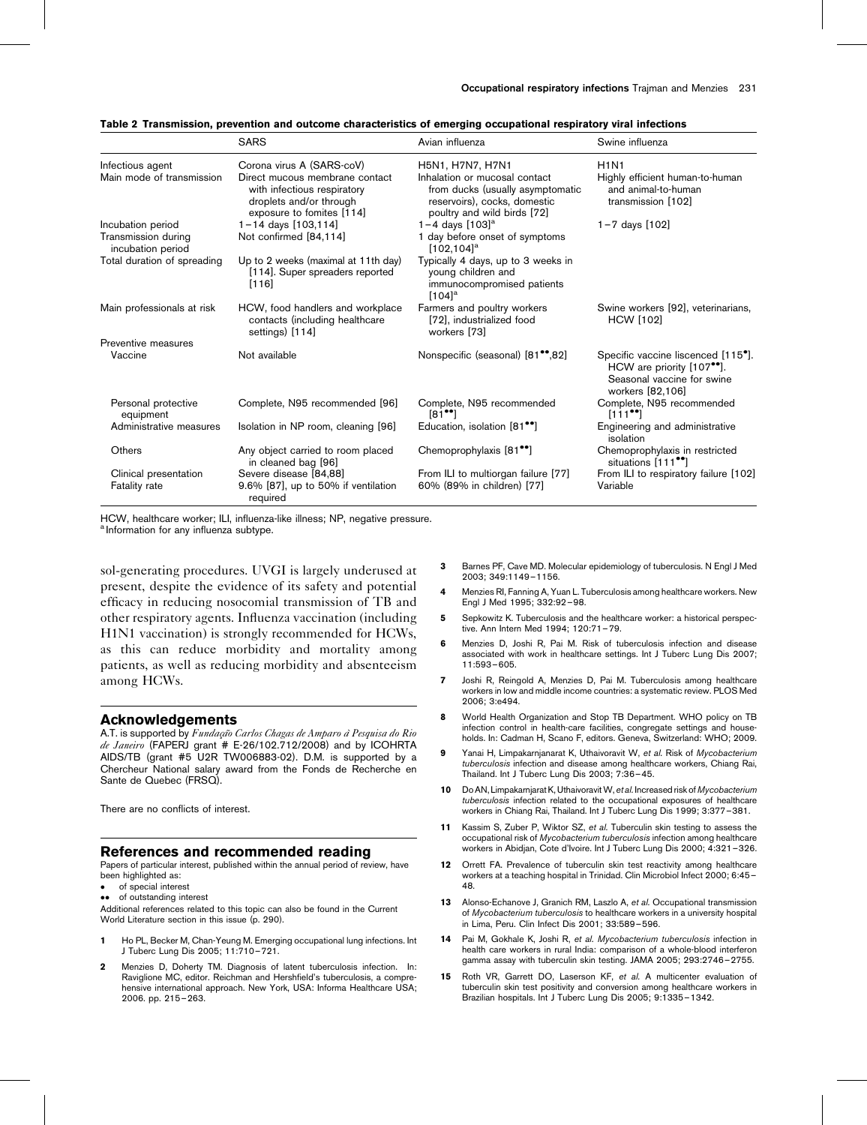<span id="page-5-0"></span>

|  |  |  |  | Table 2 Transmission, prevention and outcome characteristics of emerging occupational respiratory viral infections |  |  |  |  |
|--|--|--|--|--------------------------------------------------------------------------------------------------------------------|--|--|--|--|
|--|--|--|--|--------------------------------------------------------------------------------------------------------------------|--|--|--|--|

|                                          | <b>SARS</b>                                                                                                           | Avian influenza                                                                                                                  | Swine influenza                                                                                                                             |
|------------------------------------------|-----------------------------------------------------------------------------------------------------------------------|----------------------------------------------------------------------------------------------------------------------------------|---------------------------------------------------------------------------------------------------------------------------------------------|
| Infectious agent                         | Corona virus A (SARS-coV)                                                                                             | H5N1, H7N7, H7N1                                                                                                                 | <b>H1N1</b>                                                                                                                                 |
| Main mode of transmission                | Direct mucous membrane contact<br>with infectious respiratory<br>droplets and/or through<br>exposure to fomites [114] | Inhalation or mucosal contact<br>from ducks (usually asymptomatic<br>reservoirs), cocks, domestic<br>poultry and wild birds [72] | Highly efficient human-to-human<br>and animal-to-human<br>transmission [102]                                                                |
| Incubation period                        | $1 - 14$ days $[103, 114]$                                                                                            | 1-4 days $[103]$ <sup>a</sup>                                                                                                    | $1 - 7$ days $[102]$                                                                                                                        |
| Transmission during<br>incubation period | Not confirmed [84,114]                                                                                                | 1 day before onset of symptoms<br>$[102, 104]$ <sup>a</sup>                                                                      |                                                                                                                                             |
| Total duration of spreading              | Up to 2 weeks (maximal at 11th day)<br>[114]. Super spreaders reported<br>[116]                                       | Typically 4 days, up to 3 weeks in<br>young children and<br>immunocompromised patients<br>$[104]$ <sup>a</sup>                   |                                                                                                                                             |
| Main professionals at risk               | HCW, food handlers and workplace<br>contacts (including healthcare<br>settings) [114]                                 | Farmers and poultry workers<br>[72], industrialized food<br>workers [73]                                                         | Swine workers [92], veterinarians,<br><b>HCW</b> [102]                                                                                      |
| Preventive measures                      |                                                                                                                       |                                                                                                                                  |                                                                                                                                             |
| Vaccine                                  | Not available                                                                                                         | Nonspecific (seasonal) [81 <sup>**</sup> ,82]                                                                                    | Specific vaccine liscenced [115 <sup>°</sup> ].<br>HCW are priority [107 <sup>**</sup> ].<br>Seasonal vaccine for swine<br>workers [82,106] |
| Personal protective<br>equipment         | Complete, N95 recommended [96]                                                                                        | Complete, N95 recommended<br>$[81$ <sup>**</sup> ]                                                                               | Complete, N95 recommended<br>$[111$ <sup>**</sup> ]                                                                                         |
| Administrative measures                  | Isolation in NP room, cleaning [96]                                                                                   | Education, isolation [81 <sup>••</sup> ]                                                                                         | Engineering and administrative<br>isolation                                                                                                 |
| Others                                   | Any object carried to room placed<br>in cleaned bag [96]                                                              | Chemoprophylaxis [81 <sup>••</sup> ]                                                                                             | Chemoprophylaxis in restricted<br>situations [111 <sup>••</sup> ]                                                                           |
| Clinical presentation<br>Fatality rate   | Severe disease [84,88]<br>$9.6\%$ [87], up to 50% if ventilation<br>required                                          | From ILI to multiorgan failure [77]<br>60% (89% in children) [77]                                                                | From ILI to respiratory failure [102]<br>Variable                                                                                           |

HCW, healthcare worker; ILI, influenza-like illness; NP, negative pressure.

a Information for any influenza subtype.

sol-generating procedures. UVGI is largely underused at present, despite the evidence of its safety and potential efficacy in reducing nosocomial transmission of TB and other respiratory agents. Influenza vaccination (including H1N1 vaccination) is strongly recommended for HCWs, as this can reduce morbidity and mortality among patients, as well as reducing morbidity and absenteeism among HCWs.

#### Acknowledgements

A.T. is supported by Fundação Carlos Chagas de Amparo à Pesquisa do Rio de Janeiro (FAPERJ grant # E-26/102.712/2008) and by ICOHRTA AIDS/TB (grant #5 U2R TW006883-02). D.M. is supported by a Chercheur National salary award from the Fonds de Recherche en Sante de Quebec (FRSQ).

There are no conflicts of interest.

#### References and recommended reading

Papers of particular interest, published within the annual period of review, have been highlighted as:

- of special interest
- of outstanding interest

Additional references related to this topic can also be found in the Current World Literature section in this issue (p. 290).

- 1 Ho PL, Becker M, Chan-Yeung M. Emerging occupational lung infections. Int J Tuberc Lung Dis 2005; 11:710–721.
- 2 Menzies D, Doherty TM. Diagnosis of latent tuberculosis infection. In: Raviglione MC, editor. Reichman and Hershfield's tuberculosis, a comprehensive international approach. New York, USA: Informa Healthcare USA; 2006. pp. 215–263.
- 3 Barnes PF, Cave MD. Molecular epidemiology of tuberculosis. N Engl J Med 2003; 349:1149–1156.
- 4 Menzies RI, Fanning A, Yuan L. Tuberculosis among healthcare workers. New Engl J Med 1995; 332:92–98.
- 5 Sepkowitz K. Tuberculosis and the healthcare worker: a historical perspective. Ann Intern Med 1994; 120:71–79.
- 6 Menzies D, Joshi R, Pai M. Risk of tuberculosis infection and disease associated with work in healthcare settings. Int J Tuberc Lung Dis 2007; 11:593–605.
- 7 Joshi R, Reingold A, Menzies D, Pai M. Tuberculosis among healthcare workers in low and middle income countries: a systematic review. PLOS Med 2006; 3:e494.
- 8 World Health Organization and Stop TB Department. WHO policy on TB infection control in health-care facilities, congregate settings and households. In: Cadman H, Scano F, editors. Geneva, Switzerland: WHO; 2009.
- 9 Yanai H, Limpakarnjanarat K, Uthaivoravit W, et al. Risk of Mycobacterium tuberculosis infection and disease among healthcare workers, Chiang Rai, Thailand. Int J Tuberc Lung Dis 2003; 7:36–45.
- 10 Do AN, Limpakarnjarat K, Uthaivoravit W, et al. Increased risk of Mycobacterium tuberculosis infection related to the occupational exposures of healthcare workers in Chiang Rai, Thailand. Int J Tuberc Lung Dis 1999; 3:377–381.
- 11 Kassim S, Zuber P, Wiktor SZ, et al. Tuberculin skin testing to assess the occupational risk of Mycobacterium tuberculosis infection among healthcare workers in Abidjan, Cote d'Ivoire. Int J Tuberc Lung Dis 2000; 4:321–326.
- 12 Orrett FA. Prevalence of tuberculin skin test reactivity among healthcare workers at a teaching hospital in Trinidad. Clin Microbiol Infect 2000; 6:45– 48.
- 13 Alonso-Echanove J, Granich RM, Laszlo A, et al. Occupational transmission of Mycobacterium tuberculosis to healthcare workers in a university hospital in Lima, Peru. Clin Infect Dis 2001; 33:589–596.
- 14 Pai M, Gokhale K, Joshi R, et al. Mycobacterium tuberculosis infection in health care workers in rural India: comparison of a whole-blood interferon gamma assay with tuberculin skin testing. JAMA 2005; 293:2746–2755.
- 15 Roth VR, Garrett DO, Laserson KF, et al. A multicenter evaluation of tuberculin skin test positivity and conversion among healthcare workers in Brazilian hospitals. Int J Tuberc Lung Dis 2005; 9:1335–1342.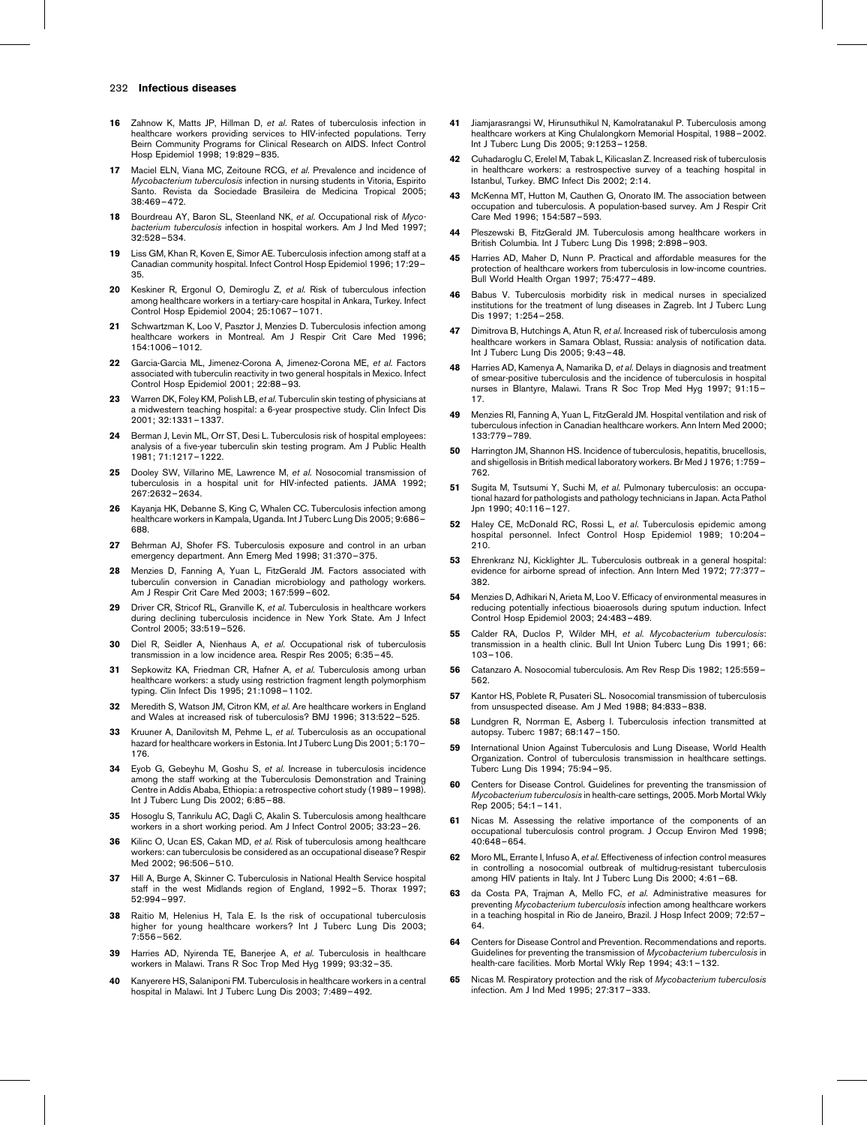- <span id="page-6-0"></span>16 Zahnow K, Matts JP, Hillman D, et al. Rates of tuberculosis infection in healthcare workers providing services to HIV-infected populations. Terry Beirn Community Programs for Clinical Research on AIDS. Infect Control Hosp Epidemiol 1998; 19:829–835.
- 17 Maciel ELN, Viana MC, Zeitoune RCG, et al. Prevalence and incidence of Mycobacterium tuberculosis infection in nursing students in Vitoria, Espirito Santo. Revista da Sociedade Brasileira de Medicina Tropical 2005; 38:469–472.
- Bourdreau AY, Baron SL, Steenland NK, et al. Occupational risk of Mycobacterium tuberculosis infection in hospital workers. Am J Ind Med 1997; 32:528–534.
- 19 Liss GM, Khan R, Koven E, Simor AE. Tuberculosis infection among staff at a Canadian community hospital. Infect Control Hosp Epidemiol 1996; 17:29– 35.
- 20 Keskiner R, Ergonul O, Demiroglu Z, et al. Risk of tuberculous infection among healthcare workers in a tertiary-care hospital in Ankara, Turkey. Infect Control Hosp Epidemiol 2004; 25:1067–1071.
- Schwartzman K, Loo V, Pasztor J, Menzies D. Tuberculosis infection among healthcare workers in Montreal. Am J Respir Crit Care Med 1996; 154:1006–1012.
- 22 Garcia-Garcia ML, Jimenez-Corona A, Jimenez-Corona ME, et al. Factors associated with tuberculin reactivity in two general hospitals in Mexico. Infect Control Hosp Epidemiol 2001; 22:88–93.
- 23 Warren DK, Foley KM, Polish LB, et al. Tuberculin skin testing of physicians at a midwestern teaching hospital: a 6-year prospective study. Clin Infect Dis 2001; 32:1331–1337.
- 24 Berman J, Levin ML, Orr ST, Desi L, Tuberculosis risk of hospital employees: analysis of a five-year tuberculin skin testing program. Am J Public Health 1981; 71:1217–1222.
- 25 Dooley SW, Villarino ME, Lawrence M, et al. Nosocomial transmission of tuberculosis in a hospital unit for HIV-infected patients. JAMA 1992; 267:2632–2634.
- 26 Kayanja HK, Debanne S, King C, Whalen CC. Tuberculosis infection among healthcare workers in Kampala, Uganda. Int J Tuberc Lung Dis 2005; 9:686– 688.
- 27 Behrman AJ, Shofer FS. Tuberculosis exposure and control in an urban emergency department. Ann Emerg Med 1998; 31:370–375.
- 28 Menzies D, Fanning A, Yuan L, FitzGerald JM. Factors associated with tuberculin conversion in Canadian microbiology and pathology workers. Am J Respir Crit Care Med 2003; 167:599–602.
- 29 Driver CR, Stricof RL, Granville K, et al. Tuberculosis in healthcare workers during declining tuberculosis incidence in New York State. Am J Infect Control 2005; 33:519–526.
- 30 Diel R, Seidler A, Nienhaus A, et al. Occupational risk of tuberculosis transmission in a low incidence area. Respir Res 2005; 6:35–45.
- 31 Sepkowitz KA, Friedman CR, Hafner A, et al. Tuberculosis among urban healthcare workers: a study using restriction fragment length polymorphism typing. Clin Infect Dis 1995; 21:1098–1102.
- 32 Meredith S, Watson JM, Citron KM, et al. Are healthcare workers in England and Wales at increased risk of tuberculosis? BMJ 1996; 313:522–525.
- 33 Kruuner A, Danilovitsh M, Pehme L, et al. Tuberculosis as an occupational hazard for healthcare workers in Estonia. Int J Tuberc Lung Dis 2001; 5:170– 176.
- 34 Eyob G, Gebeyhu M, Goshu S, et al. Increase in tuberculosis incidence among the staff working at the Tuberculosis Demonstration and Training Centre in Addis Ababa, Ethiopia: a retrospective cohort study (1989–1998). Int J Tuberc Lung Dis 2002; 6:85–88.
- 35 Hosoglu S, Tanrikulu AC, Dagli C, Akalin S. Tuberculosis among healthcare workers in a short working period. Am J Infect Control 2005; 33:23–26.
- 36 Kilinc O, Ucan ES, Cakan MD, et al. Risk of tuberculosis among healthcare workers: can tuberculosis be considered as an occupational disease? Respir Med 2002; 96:506–510.
- 37 Hill A, Burge A, Skinner C. Tuberculosis in National Health Service hospital staff in the west Midlands region of England, 1992–5. Thorax 1997; 52:994–997.
- 38 Raitio M, Helenius H, Tala E. Is the risk of occupational tuberculosis higher for young healthcare workers? Int J Tuberc Lung Dis 2003; 7:556–562.
- 39 Harries AD, Nyirenda TE, Banerjee A, et al. Tuberculosis in healthcare workers in Malawi. Trans R Soc Trop Med Hyg 1999; 93:32–35.
- 40 Kanyerere HS, Salaniponi FM. Tuberculosis in healthcare workers in a central hospital in Malawi. Int J Tuberc Lung Dis 2003; 7:489–492.
- 41 Jiamjarasrangsi W, Hirunsuthikul N, Kamolratanakul P. Tuberculosis among healthcare workers at King Chulalongkorn Memorial Hospital, 1988–2002. Int J Tuberc Lung Dis 2005; 9:1253–1258.
- 42 Cuhadaroglu C, Erelel M, Tabak L, Kilicaslan Z. Increased risk of tuberculosis in healthcare workers: a restrospective survey of a teaching hospital in Istanbul, Turkey. BMC Infect Dis 2002; 2:14.
- 43 McKenna MT, Hutton M, Cauthen G, Onorato IM. The association between occupation and tuberculosis. A population-based survey. Am J Respir Crit Care Med 1996; 154:587–593.
- 44 Pleszewski B, FitzGerald JM. Tuberculosis among healthcare workers in British Columbia. Int J Tuberc Lung Dis 1998; 2:898–903.
- 45 Harries AD, Maher D, Nunn P. Practical and affordable measures for the protection of healthcare workers from tuberculosis in low-income countries. Bull World Health Organ 1997; 75:477–489.
- 46 Babus V. Tuberculosis morbidity risk in medical nurses in specialized institutions for the treatment of lung diseases in Zagreb. Int J Tuberc Lung Dis 1997; 1:254–258.
- 47 Dimitrova B, Hutchings A, Atun R, et al. Increased risk of tuberculosis among healthcare workers in Samara Oblast, Russia: analysis of notification data. Int J Tuberc Lung Dis 2005; 9:43–48.
- 48 Harries AD, Kamenya A, Namarika D, et al. Delays in diagnosis and treatment of smear-positive tuberculosis and the incidence of tuberculosis in hospital nurses in Blantyre, Malawi. Trans R Soc Trop Med Hyg 1997; 91:15– 17.
- 49 Menzies RI, Fanning A, Yuan L, FitzGerald JM. Hospital ventilation and risk of tuberculous infection in Canadian healthcare workers. Ann Intern Med 2000; 133:779–789.
- 50 Harrington JM, Shannon HS. Incidence of tuberculosis, hepatitis, brucellosis, and shigellosis in British medical laboratory workers. Br Med J 1976; 1:759– 762.
- 51 Sugita M, Tsutsumi Y, Suchi M, et al. Pulmonary tuberculosis: an occupational hazard for pathologists and pathology technicians in Japan. Acta Pathol Jpn 1990; 40:116–127.
- Haley CE, McDonald RC, Rossi L, et al. Tuberculosis epidemic among hospital personnel. Infect Control Hosp Epidemiol 1989; 10:204–  $210.$
- 53 Ehrenkranz NJ, Kicklighter JL. Tuberculosis outbreak in a general hospital: evidence for airborne spread of infection. Ann Intern Med 1972; 77:377– 382.
- 54 Menzies D, Adhikari N, Arieta M, Loo V. Efficacy of environmental measures in reducing potentially infectious bioaerosols during sputum induction. Infect Control Hosp Epidemiol 2003; 24:483–489.
- 55 Calder RA, Duclos P, Wilder MH, et al. Mycobacterium tuberculosis: transmission in a health clinic. Bull Int Union Tuberc Lung Dis 1991; 66: 103–106.
- 56 Catanzaro A. Nosocomial tuberculosis. Am Rev Resp Dis 1982; 125:559– 562.
- 57 Kantor HS, Poblete R, Pusateri SL. Nosocomial transmission of tuberculosis from unsuspected disease. Am J Med 1988; 84:833–838.
- 58 Lundgren R, Norrman E, Asberg I. Tuberculosis infection transmitted at autopsy. Tuberc 1987; 68:147–150.
- 59 International Union Against Tuberculosis and Lung Disease, World Health Organization. Control of tuberculosis transmission in healthcare settings. Tuberc Lung Dis 1994; 75:94–95.
- 60 Centers for Disease Control. Guidelines for preventing the transmission of Mycobacterium tuberculosis in health-care settings, 2005. Morb Mortal Wkly Rep 2005; 54:1–141.
- Nicas M. Assessing the relative importance of the components of an occupational tuberculosis control program. J Occup Environ Med 1998; 40:648–654.
- 62 Moro ML, Errante I, Infuso A, et al. Effectiveness of infection control measures in controlling a nosocomial outbreak of multidrug-resistant tuberculosis among HIV patients in Italy. Int J Tuberc Lung Dis 2000; 4:61–68.
- 63 da Costa PA, Trajman A, Mello FC, et al. Administrative measures for preventing Mycobacterium tuberculosis infection among healthcare workers in a teaching hospital in Rio de Janeiro, Brazil. J Hosp Infect 2009; 72:57– 64.
- 64 Centers for Disease Control and Prevention. Recommendations and reports. Guidelines for preventing the transmission of Mycobacterium tuberculosis in health-care facilities. Morb Mortal Wkly Rep 1994; 43:1-132.
- Nicas M. Respiratory protection and the risk of Mycobacterium tuberculosis infection. Am J Ind Med 1995; 27:317–333.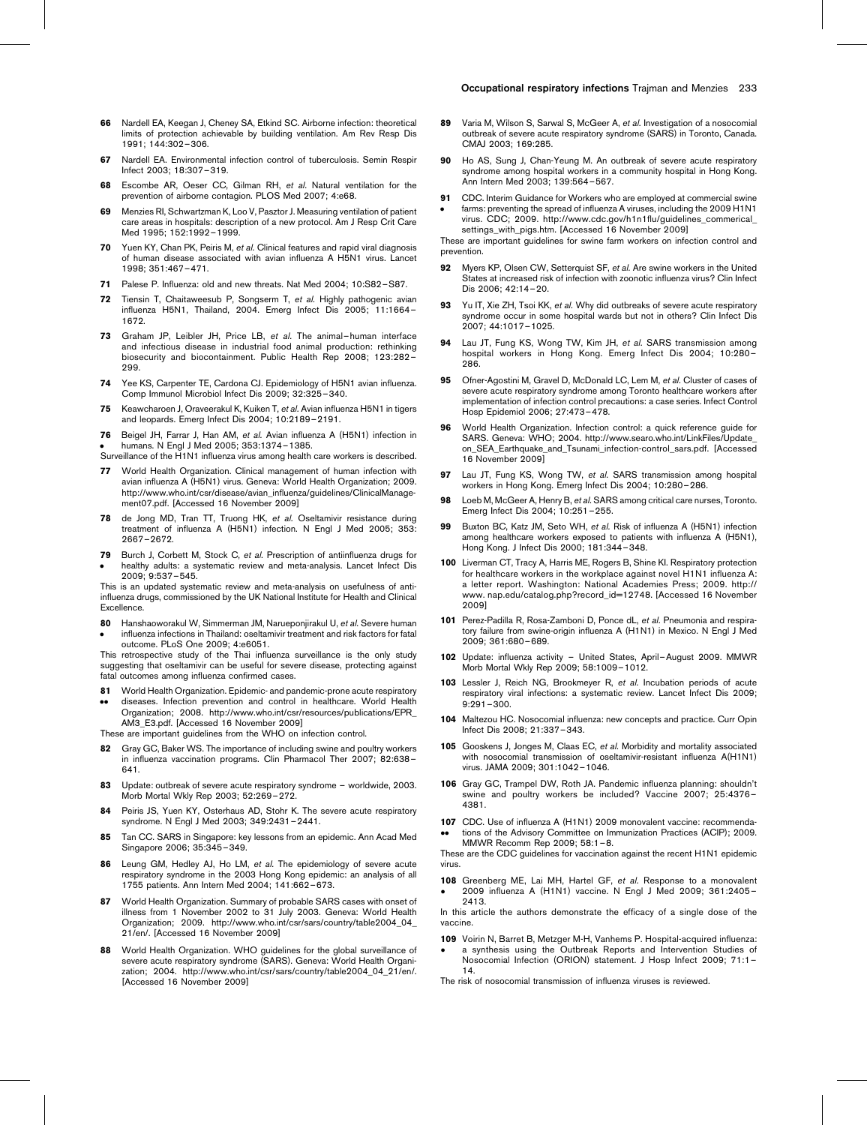- <span id="page-7-0"></span>66 Nardell EA, Keegan J, Cheney SA, Etkind SC. Airborne infection: theoretical limits of protection achievable by building ventilation. Am Rev Resp Dis 1991; 144:302–306.
- 67 Nardell EA. Environmental infection control of tuberculosis. Semin Respir Infect 2003; 18:307–319.
- 68 Escombe AR, Oeser CC, Gilman RH, et al. Natural ventilation for the prevention of airborne contagion. PLOS Med 2007; 4:e68.
- 69 Menzies RI, Schwartzman K, Loo V, Pasztor J. Measuring ventilation of patient care areas in hospitals: description of a new protocol. Am J Resp Crit Care Med 1995; 152:1992–1999.
- Yuen KY, Chan PK, Peiris M, et al. Clinical features and rapid viral diagnosis of human disease associated with avian influenza A H5N1 virus. Lancet 1998; 351:467–471.
- 71 Palese P. Influenza: old and new threats. Nat Med 2004; 10:S82–S87.
- Tiensin T, Chaitaweesub P, Songserm T, et al. Highly pathogenic avian influenza H5N1, Thailand, 2004. Emerg Infect Dis 2005; 11:1664– 1672.
- 73 Graham JP, Leibler JH, Price LB, et al. The animal-human interface and infectious disease in industrial food animal production: rethinking biosecurity and biocontainment. Public Health Rep 2008; 123:282– 299.
- 74 Yee KS, Carpenter TE, Cardona CJ. Epidemiology of H5N1 avian influenza. Comp Immunol Microbiol Infect Dis 2009; 32:325–340.
- 75 Keawcharoen J, Oraveerakul K, Kuiken T, et al. Avian influenza H5N1 in tigers and leopards. Emerg Infect Dis 2004; 10:2189–2191.
- 76  $\bullet$ Beigel JH, Farrar J, Han AM, et al. Avian influenza A (H5N1) infection in humans. N Engl J Med 2005; 353:1374–1385.

Surveillance of the H1N1 influenza virus among health care workers is described.

- 77 World Health Organization. Clinical management of human infection with avian influenza A (H5N1) virus. Geneva: World Health Organization; 2009. [http://www.who.int/csr/disease/avian\\_influenza/guidelines/ClinicalManage](http://www.who.int/csr/disease/avian_influenza/guidelines/ClinicalManagement07.pdf)[ment07.pdf](http://www.who.int/csr/disease/avian_influenza/guidelines/ClinicalManagement07.pdf). [Accessed 16 November 2009]
- 78 de Jong MD, Tran TT, Truong HK, et al. Oseltamivir resistance during treatment of influenza A (H5N1) infection. N Engl J Med 2005; 353: 2667–2672.
- 79  $\bullet$ Burch J, Corbett M, Stock C, et al. Prescription of antiinfluenza drugs for healthy adults: a systematic review and meta-analysis. Lancet Infect Dis 2009; 9:537–545.

This is an updated systematic review and meta-analysis on usefulness of antiinfluenza drugs, commissioned by the UK National Institute for Health and Clinical Excellence.

80  $\bullet$ Hanshaoworakul W, Simmerman JM, Narueponjirakul U, et al. Severe human influenza infections in Thailand: oseltamivir treatment and risk factors for fatal outcome. PLoS One 2009; 4:e6051.

This retrospective study of the Thai influenza surveillance is the only study suggesting that oseltamivir can be useful for severe disease, protecting against fatal outcomes among influenza confirmed cases.

- 81 .. World Health Organization. Epidemic- and pandemic-prone acute respiratory diseases. Infection prevention and control in healthcare. World Health
- Organization; 2008. [http://www.who.int/csr/resources/publications/EPR\\_](http://www.who.int/csr/resources/publications/EPR_AM3_E3.pdf) [AM3\\_E3.pdf](http://www.who.int/csr/resources/publications/EPR_AM3_E3.pdf). [Accessed 16 November 2009]

These are important guidelines from the WHO on infection control.

- 82 Gray GC, Baker WS. The importance of including swine and poultry workers in influenza vaccination programs. Clin Pharmacol Ther 2007; 82:638– 641.
- 83 Update: outbreak of severe acute respiratory syndrome worldwide, 2003. Morb Mortal Wkly Rep 2003; 52:269–272.
- 84 Peiris JS, Yuen KY, Osterhaus AD, Stohr K. The severe acute respiratory syndrome. N Engl J Med 2003; 349:2431–2441.
- 85 Tan CC. SARS in Singapore: key lessons from an epidemic. Ann Acad Med Singapore 2006; 35:345–349.
- 86 Leung GM, Hedley AJ, Ho LM, et al. The epidemiology of severe acute respiratory syndrome in the 2003 Hong Kong epidemic: an analysis of all 1755 patients. Ann Intern Med 2004; 141:662–673.
- 87 World Health Organization. Summary of probable SARS cases with onset of illness from 1 November 2002 to 31 July 2003. Geneva: World Health Organization; 2009. [http://www.who.int/csr/sars/country/table2004\\_04\\_](http://www.who.int/csr/sars/country/table2004_04_21/en/) [21/en/](http://www.who.int/csr/sars/country/table2004_04_21/en/). [Accessed 16 November 2009]
- 88 World Health Organization. WHO guidelines for the global surveillance of severe acute respiratory syndrome (SARS). Geneva: World Health Organization; 2004. [http://www.who.int/csr/sars/country/table2004\\_04\\_21/en/](http://www.who.int/csr/sars/country/table2004_04_21/en/). [Accessed 16 November 2009]
- 89 Varia M, Wilson S, Sarwal S, McGeer A, et al. Investigation of a nosocomial outbreak of severe acute respiratory syndrome (SARS) in Toronto, Canada. CMAJ 2003; 169:285.
- 90 Ho AS, Sung J, Chan-Yeung M. An outbreak of severe acute respiratory syndrome among hospital workers in a community hospital in Hong Kong. Ann Intern Med 2003; 139:564–567.
- 91  $\bullet$ CDC. Interim Guidance for Workers who are employed at commercial swine farms: preventing the spread of influenza A viruses, including the 2009 H1N1 virus. CDC; 2009. [http://www.cdc.gov/h1n1flu/guidelines\\_commerical\\_](http://www.cdc.gov/h1n1flu/guidelines_commerical_settings_with_pigs.htm) [settings\\_with\\_pigs.htm.](http://www.cdc.gov/h1n1flu/guidelines_commerical_settings_with_pigs.htm) [Accessed 16 November 2009]

These are important guidelines for swine farm workers on infection control and prevention.

- 92 Myers KP, Olsen CW, Setterquist SF, et al. Are swine workers in the United States at increased risk of infection with zoonotic influenza virus? Clin Infect Dis 2006; 42:14–20.
- 93 Yu IT, Xie ZH, Tsoi KK, et al. Why did outbreaks of severe acute respiratory syndrome occur in some hospital wards but not in others? Clin Infect Dis 2007; 44:1017–1025.
- 94 Lau JT, Fung KS, Wong TW, Kim JH, et al. SARS transmission among hospital workers in Hong Kong. Emerg Infect Dis 2004; 10:280– 286.
- 95 Ofner-Agostini M, Gravel D, McDonald LC, Lem M, et al. Cluster of cases of severe acute respiratory syndrome among Toronto healthcare workers after implementation of infection control precautions: a case series. Infect Control Hosp Epidemiol 2006; 27:473–478.
- World Health Organization. Infection control: a quick reference guide for SARS. Geneva: WHO; 2004. [http://www.searo.who.int/LinkFiles/Update\\_](http://www.searo.who.int/LinkFiles/Update_on_SEA_Earthquake_and_Tsunami_infection-control_sars.pdf) on SEA Earthquake and Tsunami infection-control sars.pdf. [Accessed 16 November 2009]
- 97 Lau JT, Fung KS, Wong TW, et al. SARS transmission among hospital workers in Hong Kong. Emerg Infect Dis 2004; 10:280–286.
- 98 Loeb M, McGeer A, Henry B, et al. SARS among critical care nurses, Toronto. Emerg Infect Dis 2004; 10:251–255.
- 99 Buxton BC, Katz JM, Seto WH, et al. Risk of influenza A (H5N1) infection among healthcare workers exposed to patients with influenza A (H5N1), Hong Kong. J Infect Dis 2000; 181:344–348.
- 100 Liverman CT, Tracy A, Harris ME, Rogers B, Shine KI. Respiratory protection for healthcare workers in the workplace against novel H1N1 influenza A: a letter report. Washington: National Academies Press; 2009. [http://](http://www.nap.edu/catalog.php?record_id=12748) [www. nap.edu/catalog.php?record\\_id=12748.](http://www.nap.edu/catalog.php?record_id=12748) [Accessed 16 November 2009]
- 101 Perez-Padilla R, Rosa-Zamboni D, Ponce dL, et al. Pneumonia and respiratory failure from swine-origin influenza A (H1N1) in Mexico. N Engl J Med 2009; 361:680–689.
- 102 Update: influenza activity United States, April–August 2009. MMWR Morb Mortal Wkly Rep 2009; 58:1009–1012.
- 103 Lessler J, Reich NG, Brookmeyer R, et al. Incubation periods of acute respiratory viral infections: a systematic review. Lancet Infect Dis 2009; 9:291–300.
- 104 Maltezou HC. Nosocomial influenza: new concepts and practice. Curr Opin Infect Dis 2008; 21:337–343.
- 105 Gooskens J, Jonges M, Claas EC, et al. Morbidity and mortality associated with nosocomial transmission of oseltamivir-resistant influenza A(H1N1) virus. JAMA 2009; 301:1042–1046.
- 106 Gray GC, Trampel DW, Roth JA. Pandemic influenza planning: shouldn't swine and poultry workers be included? Vaccine 2007; 25:4376– 4381.
- 107 CDC. Use of influenza A (H1N1) 2009 monovalent vaccine: recommenda-.. tions of the Advisory Committee on Immunization Practices (ACIP); 2009. MMWR Recomm Rep 2009; 58:1–8.

These are the CDC guidelines for vaccination against the recent H1N1 epidemic virus.

108 Greenberg ME, Lai MH, Hartel GF, et al. Response to a monovalent  $\bullet$ 2009 influenza A (H1N1) vaccine. N Engl J Med 2009; 361:2405– 2413.

In this article the authors demonstrate the efficacy of a single dose of the vaccine.

109 Voirin N, Barret B, Metzger M-H, Vanhems P. Hospital-acquired influenza:  $\bullet$ a synthesis using the Outbreak Reports and Intervention Studies of Nosocomial Infection (ORION) statement. J Hosp Infect 2009; 71:1– 14.

The risk of nosocomial transmission of influenza viruses is reviewed.